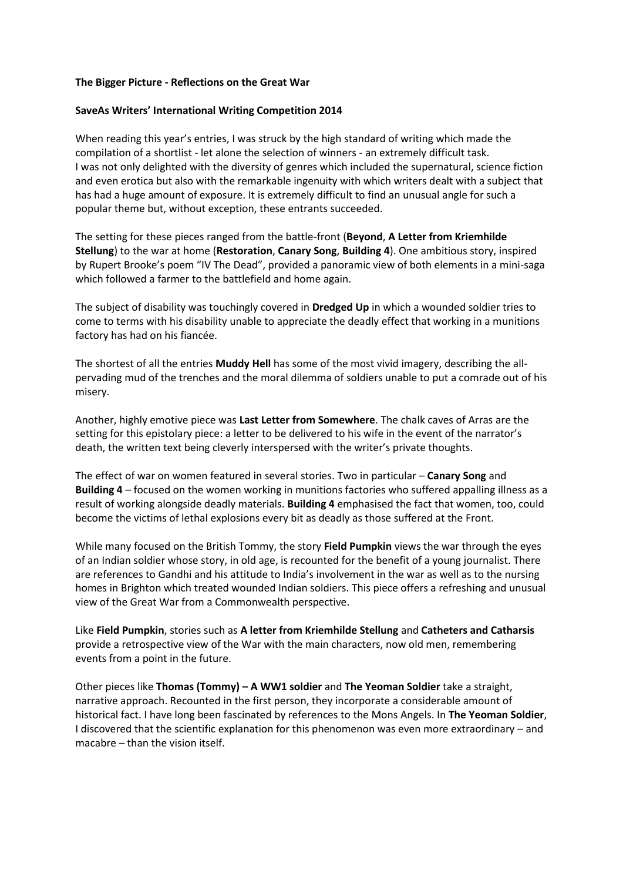### **The Bigger Picture - Reflections on the Great War**

### **SaveAs Writers' International Writing Competition 2014**

When reading this year's entries, I was struck by the high standard of writing which made the compilation of a shortlist - let alone the selection of winners - an extremely difficult task. I was not only delighted with the diversity of genres which included the supernatural, science fiction and even erotica but also with the remarkable ingenuity with which writers dealt with a subject that has had a huge amount of exposure. It is extremely difficult to find an unusual angle for such a popular theme but, without exception, these entrants succeeded.

The setting for these pieces ranged from the battle-front (**Beyond**, **A Letter from Kriemhilde Stellung**) to the war at home (**Restoration**, **Canary Song**, **Building 4**). One ambitious story, inspired by Rupert Brooke's poem "IV The Dead", provided a panoramic view of both elements in a mini-saga which followed a farmer to the battlefield and home again.

The subject of disability was touchingly covered in **Dredged Up** in which a wounded soldier tries to come to terms with his disability unable to appreciate the deadly effect that working in a munitions factory has had on his fiancée.

The shortest of all the entries **Muddy Hell** has some of the most vivid imagery, describing the allpervading mud of the trenches and the moral dilemma of soldiers unable to put a comrade out of his misery.

Another, highly emotive piece was **Last Letter from Somewhere**. The chalk caves of Arras are the setting for this epistolary piece: a letter to be delivered to his wife in the event of the narrator's death, the written text being cleverly interspersed with the writer's private thoughts.

The effect of war on women featured in several stories. Two in particular – **Canary Song** and **Building 4** – focused on the women working in munitions factories who suffered appalling illness as a result of working alongside deadly materials. **Building 4** emphasised the fact that women, too, could become the victims of lethal explosions every bit as deadly as those suffered at the Front.

While many focused on the British Tommy, the story **Field Pumpkin** views the war through the eyes of an Indian soldier whose story, in old age, is recounted for the benefit of a young journalist. There are references to Gandhi and his attitude to India's involvement in the war as well as to the nursing homes in Brighton which treated wounded Indian soldiers. This piece offers a refreshing and unusual view of the Great War from a Commonwealth perspective.

Like **Field Pumpkin**, stories such as **A letter from Kriemhilde Stellung** and **Catheters and Catharsis** provide a retrospective view of the War with the main characters, now old men, remembering events from a point in the future.

Other pieces like **Thomas (Tommy) – A WW1 soldier** and **The Yeoman Soldier** take a straight, narrative approach. Recounted in the first person, they incorporate a considerable amount of historical fact. I have long been fascinated by references to the Mons Angels. In **The Yeoman Soldier**, I discovered that the scientific explanation for this phenomenon was even more extraordinary – and macabre – than the vision itself.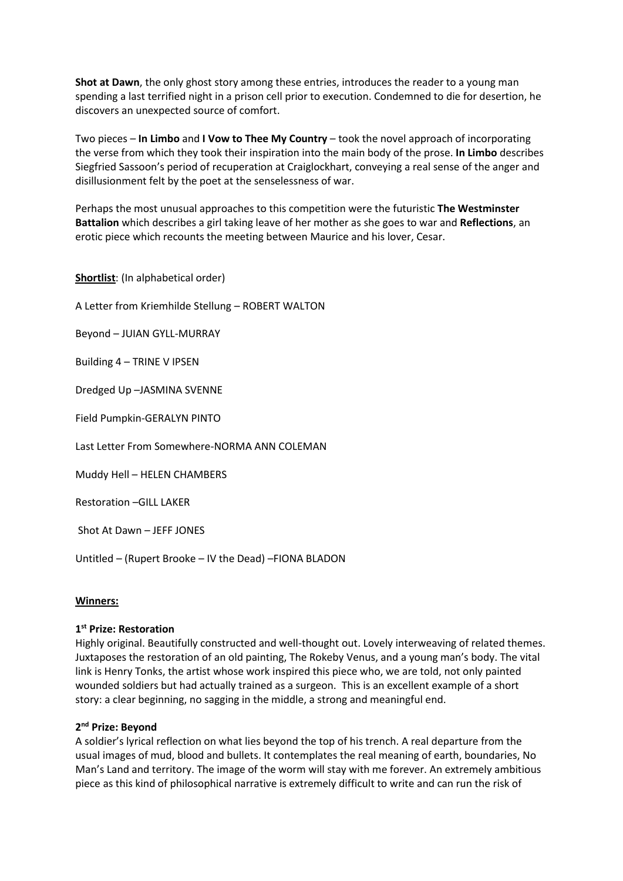**Shot at Dawn**, the only ghost story among these entries, introduces the reader to a young man spending a last terrified night in a prison cell prior to execution. Condemned to die for desertion, he discovers an unexpected source of comfort.

Two pieces – **In Limbo** and **I Vow to Thee My Country** – took the novel approach of incorporating the verse from which they took their inspiration into the main body of the prose. **In Limbo** describes Siegfried Sassoon's period of recuperation at Craiglockhart, conveying a real sense of the anger and disillusionment felt by the poet at the senselessness of war.

Perhaps the most unusual approaches to this competition were the futuristic **The Westminster Battalion** which describes a girl taking leave of her mother as she goes to war and **Reflections**, an erotic piece which recounts the meeting between Maurice and his lover, Cesar.

**Shortlist**: (In alphabetical order)

A Letter from Kriemhilde Stellung – ROBERT WALTON

Beyond – JUIAN GYLL-MURRAY

Building 4 – TRINE V IPSEN

Dredged Up –JASMINA SVENNE

Field Pumpkin-GERALYN PINTO

Last Letter From Somewhere-NORMA ANN COLEMAN

Muddy Hell – HELEN CHAMBERS

Restoration –GILL LAKER

Shot At Dawn – JEFF JONES

Untitled – (Rupert Brooke – IV the Dead) –FIONA BLADON

#### **Winners:**

## **1 st Prize: Restoration**

Highly original. Beautifully constructed and well-thought out. Lovely interweaving of related themes. Juxtaposes the restoration of an old painting, The Rokeby Venus, and a young man's body. The vital link is Henry Tonks, the artist whose work inspired this piece who, we are told, not only painted wounded soldiers but had actually trained as a surgeon. This is an excellent example of a short story: a clear beginning, no sagging in the middle, a strong and meaningful end.

## **2 nd Prize: Beyond**

A soldier's lyrical reflection on what lies beyond the top of his trench. A real departure from the usual images of mud, blood and bullets. It contemplates the real meaning of earth, boundaries, No Man's Land and territory. The image of the worm will stay with me forever. An extremely ambitious piece as this kind of philosophical narrative is extremely difficult to write and can run the risk of